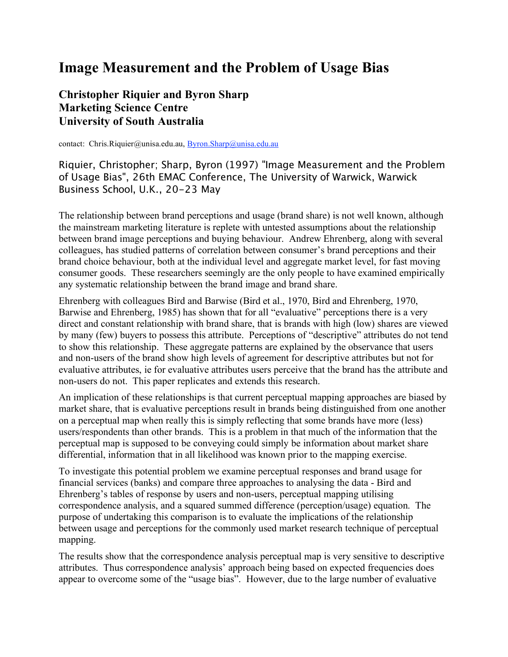# **Image Measurement and the Problem of Usage Bias**

**Christopher Riquier and Byron Sharp Marketing Science Centre University of South Australia**

contact: Chris.Riquier@unisa.edu.au, Byron.Sharp@unisa.edu.au

Riquier, Christopher; Sharp, Byron (1997) "Image Measurement and the Problem of Usage Bias", 26th EMAC Conference, The University of Warwick, Warwick Business School, U.K., 20-23 May

The relationship between brand perceptions and usage (brand share) is not well known, although the mainstream marketing literature is replete with untested assumptions about the relationship between brand image perceptions and buying behaviour. Andrew Ehrenberg, along with several colleagues, has studied patterns of correlation between consumer's brand perceptions and their brand choice behaviour, both at the individual level and aggregate market level, for fast moving consumer goods. These researchers seemingly are the only people to have examined empirically any systematic relationship between the brand image and brand share.

Ehrenberg with colleagues Bird and Barwise (Bird et al., 1970, Bird and Ehrenberg, 1970, Barwise and Ehrenberg, 1985) has shown that for all "evaluative" perceptions there is a very direct and constant relationship with brand share, that is brands with high (low) shares are viewed by many (few) buyers to possess this attribute. Perceptions of "descriptive" attributes do not tend to show this relationship. These aggregate patterns are explained by the observance that users and non-users of the brand show high levels of agreement for descriptive attributes but not for evaluative attributes, ie for evaluative attributes users perceive that the brand has the attribute and non-users do not. This paper replicates and extends this research.

An implication of these relationships is that current perceptual mapping approaches are biased by market share, that is evaluative perceptions result in brands being distinguished from one another on a perceptual map when really this is simply reflecting that some brands have more (less) users/respondents than other brands. This is a problem in that much of the information that the perceptual map is supposed to be conveying could simply be information about market share differential, information that in all likelihood was known prior to the mapping exercise.

To investigate this potential problem we examine perceptual responses and brand usage for financial services (banks) and compare three approaches to analysing the data - Bird and Ehrenberg's tables of response by users and non-users, perceptual mapping utilising correspondence analysis, and a squared summed difference (perception/usage) equation. The purpose of undertaking this comparison is to evaluate the implications of the relationship between usage and perceptions for the commonly used market research technique of perceptual mapping.

The results show that the correspondence analysis perceptual map is very sensitive to descriptive attributes. Thus correspondence analysis' approach being based on expected frequencies does appear to overcome some of the "usage bias". However, due to the large number of evaluative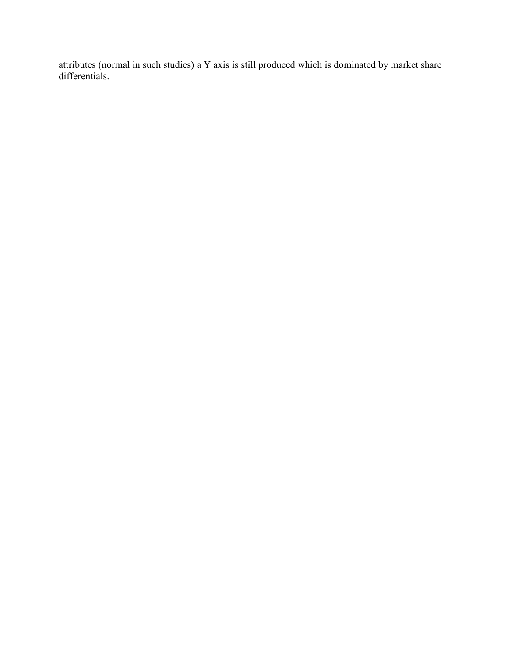attributes (normal in such studies) a Y axis is still produced which is dominated by market share differentials.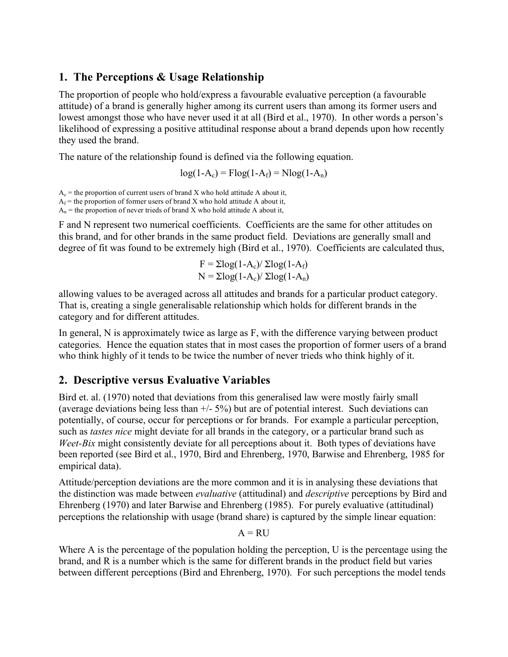## **1. The Perceptions & Usage Relationship**

The proportion of people who hold/express a favourable evaluative perception (a favourable attitude) of a brand is generally higher among its current users than among its former users and lowest amongst those who have never used it at all (Bird et al., 1970). In other words a person's likelihood of expressing a positive attitudinal response about a brand depends upon how recently they used the brand.

The nature of the relationship found is defined via the following equation.

 $log(1-A_c) = Flog(1-A_f) = Nlog(1-A_n)$ 

 $A_c$  = the proportion of current users of brand X who hold attitude A about it,

 $A_f$  = the proportion of former users of brand X who hold attitude A about it,

 $A_n$  = the proportion of never trieds of brand X who hold attitude A about it,

F and N represent two numerical coefficients. Coefficients are the same for other attitudes on this brand, and for other brands in the same product field. Deviations are generally small and degree of fit was found to be extremely high (Bird et al., 1970). Coefficients are calculated thus,

$$
F = \Sigma \log(1-A_c) / \Sigma \log(1-A_f)
$$
  
N = \Sigma \log(1-A\_c) / \Sigma \log(1-A\_n)

allowing values to be averaged across all attitudes and brands for a particular product category. That is, creating a single generalisable relationship which holds for different brands in the category and for different attitudes.

In general, N is approximately twice as large as F, with the difference varying between product categories. Hence the equation states that in most cases the proportion of former users of a brand who think highly of it tends to be twice the number of never trieds who think highly of it.

### **2. Descriptive versus Evaluative Variables**

Bird et. al. (1970) noted that deviations from this generalised law were mostly fairly small (average deviations being less than  $+/- 5\%$ ) but are of potential interest. Such deviations can potentially, of course, occur for perceptions or for brands. For example a particular perception, such as *tastes nice* might deviate for all brands in the category, or a particular brand such as *Weet-Bix* might consistently deviate for all perceptions about it. Both types of deviations have been reported (see Bird et al., 1970, Bird and Ehrenberg, 1970, Barwise and Ehrenberg, 1985 for empirical data).

Attitude/perception deviations are the more common and it is in analysing these deviations that the distinction was made between *evaluative* (attitudinal) and *descriptive* perceptions by Bird and Ehrenberg (1970) and later Barwise and Ehrenberg (1985). For purely evaluative (attitudinal) perceptions the relationship with usage (brand share) is captured by the simple linear equation:

 $A = RU$ 

Where A is the percentage of the population holding the perception, U is the percentage using the brand, and R is a number which is the same for different brands in the product field but varies between different perceptions (Bird and Ehrenberg, 1970). For such perceptions the model tends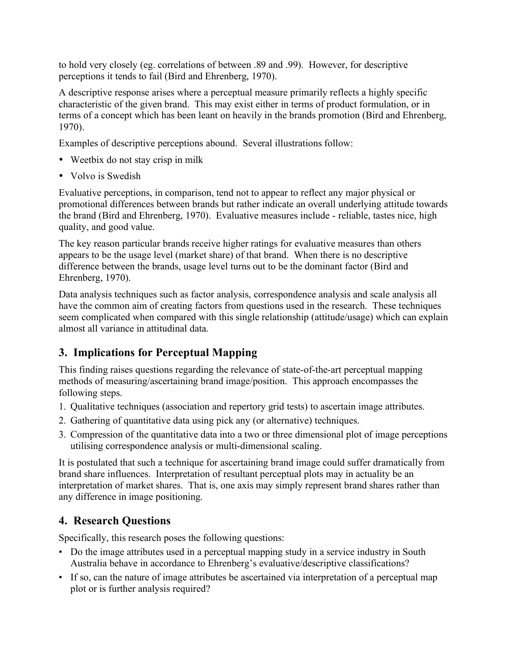to hold very closely (eg. correlations of between .89 and .99). However, for descriptive perceptions it tends to fail (Bird and Ehrenberg, 1970).

A descriptive response arises where a perceptual measure primarily reflects a highly specific characteristic of the given brand. This may exist either in terms of product formulation, or in terms of a concept which has been leant on heavily in the brands promotion (Bird and Ehrenberg, 1970).

Examples of descriptive perceptions abound. Several illustrations follow:

- Weetbix do not stay crisp in milk
- Volvo is Swedish

Evaluative perceptions, in comparison, tend not to appear to reflect any major physical or promotional differences between brands but rather indicate an overall underlying attitude towards the brand (Bird and Ehrenberg, 1970). Evaluative measures include - reliable, tastes nice, high quality, and good value.

The key reason particular brands receive higher ratings for evaluative measures than others appears to be the usage level (market share) of that brand. When there is no descriptive difference between the brands, usage level turns out to be the dominant factor (Bird and Ehrenberg, 1970).

Data analysis techniques such as factor analysis, correspondence analysis and scale analysis all have the common aim of creating factors from questions used in the research. These techniques seem complicated when compared with this single relationship (attitude/usage) which can explain almost all variance in attitudinal data.

## **3. Implications for Perceptual Mapping**

This finding raises questions regarding the relevance of state-of-the-art perceptual mapping methods of measuring/ascertaining brand image/position. This approach encompasses the following steps.

- 1. Qualitative techniques (association and repertory grid tests) to ascertain image attributes.
- 2. Gathering of quantitative data using pick any (or alternative) techniques.
- 3. Compression of the quantitative data into a two or three dimensional plot of image perceptions utilising correspondence analysis or multi-dimensional scaling.

It is postulated that such a technique for ascertaining brand image could suffer dramatically from brand share influences. Interpretation of resultant perceptual plots may in actuality be an interpretation of market shares. That is, one axis may simply represent brand shares rather than any difference in image positioning.

## **4. Research Questions**

Specifically, this research poses the following questions:

- Do the image attributes used in a perceptual mapping study in a service industry in South Australia behave in accordance to Ehrenberg's evaluative/descriptive classifications?
- If so, can the nature of image attributes be ascertained via interpretation of a perceptual map plot or is further analysis required?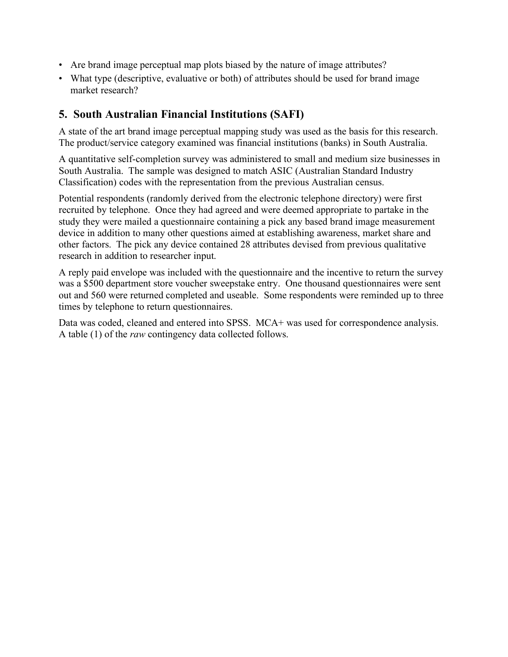- Are brand image perceptual map plots biased by the nature of image attributes?
- What type (descriptive, evaluative or both) of attributes should be used for brand image market research?

## **5. South Australian Financial Institutions (SAFI)**

A state of the art brand image perceptual mapping study was used as the basis for this research. The product/service category examined was financial institutions (banks) in South Australia.

A quantitative self-completion survey was administered to small and medium size businesses in South Australia. The sample was designed to match ASIC (Australian Standard Industry Classification) codes with the representation from the previous Australian census.

Potential respondents (randomly derived from the electronic telephone directory) were first recruited by telephone. Once they had agreed and were deemed appropriate to partake in the study they were mailed a questionnaire containing a pick any based brand image measurement device in addition to many other questions aimed at establishing awareness, market share and other factors. The pick any device contained 28 attributes devised from previous qualitative research in addition to researcher input.

A reply paid envelope was included with the questionnaire and the incentive to return the survey was a \$500 department store voucher sweepstake entry. One thousand questionnaires were sent out and 560 were returned completed and useable. Some respondents were reminded up to three times by telephone to return questionnaires.

Data was coded, cleaned and entered into SPSS. MCA+ was used for correspondence analysis. A table (1) of the *raw* contingency data collected follows.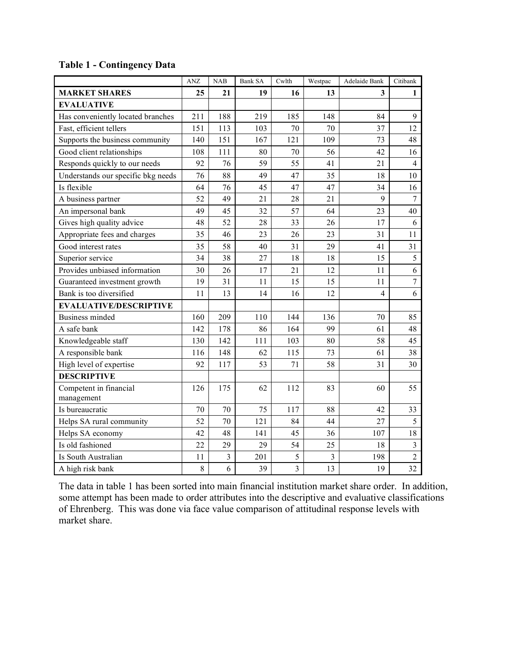|  |  | <b>Table 1 - Contingency Data</b> |  |
|--|--|-----------------------------------|--|
|--|--|-----------------------------------|--|

|                                      | <b>ANZ</b> | NAB            | <b>Bank SA</b> | Cwlth          | Westpac        | Adelaide Bank  | Citibank       |
|--------------------------------------|------------|----------------|----------------|----------------|----------------|----------------|----------------|
| <b>MARKET SHARES</b>                 | 25         | 21             | 19             | 16             | 13             | 3              | 1              |
| <b>EVALUATIVE</b>                    |            |                |                |                |                |                |                |
| Has conveniently located branches    | 211        | 188            | 219            | 185            | 148            | 84             | 9              |
| Fast, efficient tellers              | 151        | 113            | 103            | 70             | 70             | 37             | 12             |
| Supports the business community      | 140        | 151            | 167            | 121            | 109            | 73             | 48             |
| Good client relationships            | 108        | 111            | 80             | 70             | 56             | 42             | 16             |
| Responds quickly to our needs        | 92         | 76             | 59             | 55             | 41             | 21             | $\overline{4}$ |
| Understands our specific bkg needs   | 76         | 88             | 49             | 47             | 35             | 18             | 10             |
| Is flexible                          | 64         | 76             | 45             | 47             | 47             | 34             | 16             |
| A business partner                   | 52         | 49             | 21             | 28             | 21             | 9              | $\overline{7}$ |
| An impersonal bank                   | 49         | 45             | 32             | 57             | 64             | 23             | 40             |
| Gives high quality advice            | 48         | 52             | 28             | 33             | 26             | 17             | 6              |
| Appropriate fees and charges         | 35         | 46             | 23             | 26             | 23             | 31             | 11             |
| Good interest rates                  | 35         | 58             | 40             | 31             | 29             | 41             | 31             |
| Superior service                     | 34         | 38             | 27             | 18             | 18             | 15             | 5              |
| Provides unbiased information        | 30         | 26             | 17             | 21             | 12             | 11             | 6              |
| Guaranteed investment growth         | 19         | 31             | 11             | 15             | 15             | 11             | $\overline{7}$ |
| Bank is too diversified              | 11         | 13             | 14             | 16             | 12             | $\overline{4}$ | 6              |
| <b>EVALUATIVE/DESCRIPTIVE</b>        |            |                |                |                |                |                |                |
| <b>Business minded</b>               | 160        | 209            | 110            | 144            | 136            | 70             | 85             |
| A safe bank                          | 142        | 178            | 86             | 164            | 99             | 61             | 48             |
| Knowledgeable staff                  | 130        | 142            | 111            | 103            | 80             | 58             | 45             |
| A responsible bank                   | 116        | 148            | 62             | 115            | 73             | 61             | 38             |
| High level of expertise              | 92         | 117            | 53             | 71             | 58             | 31             | 30             |
| <b>DESCRIPTIVE</b>                   |            |                |                |                |                |                |                |
| Competent in financial<br>management | 126        | 175            | 62             | 112            | 83             | 60             | 55             |
| Is bureaucratic                      | 70         | 70             | 75             | 117            | 88             | 42             | 33             |
| Helps SA rural community             | 52         | 70             | 121            | 84             | 44             | 27             | 5              |
| Helps SA economy                     | 42         | 48             | 141            | 45             | 36             | 107            | 18             |
| Is old fashioned                     | 22         | 29             | 29             | 54             | 25             | 18             | $\overline{3}$ |
| Is South Australian                  | 11         | $\overline{3}$ | 201            | $\sqrt{5}$     | $\overline{3}$ | 198            | $\overline{2}$ |
| A high risk bank                     | $8\,$      | 6              | 39             | $\overline{3}$ | 13             | 19             | 32             |

The data in table 1 has been sorted into main financial institution market share order. In addition, some attempt has been made to order attributes into the descriptive and evaluative classifications of Ehrenberg. This was done via face value comparison of attitudinal response levels with market share.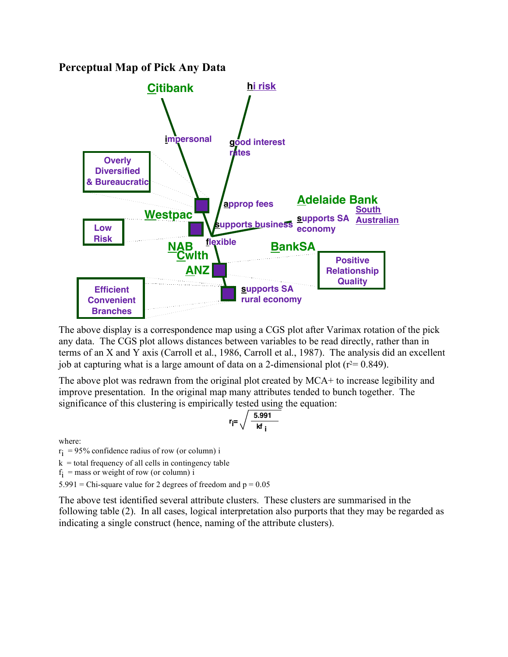#### **Perceptual Map of Pick Any Data**



The above display is a correspondence map using a CGS plot after Varimax rotation of the pick any data. The CGS plot allows distances between variables to be read directly, rather than in terms of an X and Y axis (Carroll et al., 1986, Carroll et al., 1987). The analysis did an excellent job at capturing what is a large amount of data on a 2-dimensional plot ( $r^2$  = 0.849).

The above plot was redrawn from the original plot created by MCA+ to increase legibility and improve presentation. In the original map many attributes tended to bunch together. The significance of this clustering is empirically tested using the equation:

$$
r_{\text{i}} = \sqrt{\frac{5.991}{\text{kf}_{\text{i}}}}
$$

where:

 $r_i$  = 95% confidence radius of row (or column) i

 $k =$  total frequency of all cells in contingency table

 $f_i$  = mass or weight of row (or column) i

 $5.991$  = Chi-square value for 2 degrees of freedom and  $p = 0.05$ 

The above test identified several attribute clusters. These clusters are summarised in the following table (2). In all cases, logical interpretation also purports that they may be regarded as indicating a single construct (hence, naming of the attribute clusters).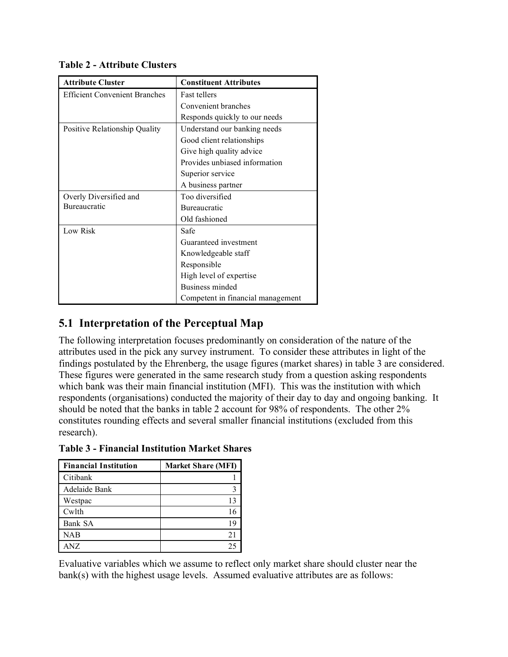| <b>Attribute Cluster</b>             | <b>Constituent Attributes</b>     |  |  |
|--------------------------------------|-----------------------------------|--|--|
| <b>Efficient Convenient Branches</b> | <b>Fast tellers</b>               |  |  |
|                                      | Convenient branches               |  |  |
|                                      | Responds quickly to our needs     |  |  |
| Positive Relationship Quality        | Understand our banking needs      |  |  |
|                                      | Good client relationships         |  |  |
|                                      | Give high quality advice          |  |  |
|                                      | Provides unbiased information     |  |  |
|                                      | Superior service                  |  |  |
|                                      | A business partner                |  |  |
| Overly Diversified and               | Too diversified                   |  |  |
| Bureaucratic                         | <b>Bureaucratic</b>               |  |  |
|                                      | Old fashioned                     |  |  |
| Low Risk                             | Safe                              |  |  |
|                                      | Guaranteed investment             |  |  |
|                                      | Knowledgeable staff               |  |  |
|                                      | Responsible                       |  |  |
|                                      | High level of expertise           |  |  |
|                                      | Business minded                   |  |  |
|                                      | Competent in financial management |  |  |

**Table 2 - Attribute Clusters**

## **5.1 Interpretation of the Perceptual Map**

The following interpretation focuses predominantly on consideration of the nature of the attributes used in the pick any survey instrument. To consider these attributes in light of the findings postulated by the Ehrenberg, the usage figures (market shares) in table 3 are considered. These figures were generated in the same research study from a question asking respondents which bank was their main financial institution (MFI). This was the institution with which respondents (organisations) conducted the majority of their day to day and ongoing banking. It should be noted that the banks in table 2 account for 98% of respondents. The other 2% constitutes rounding effects and several smaller financial institutions (excluded from this research).

| <b>Financial Institution</b> | <b>Market Share (MFI)</b> |
|------------------------------|---------------------------|
| Citibank                     |                           |
| Adelaide Bank                |                           |
| Westpac                      | 13                        |
| Cwlth                        | 16                        |
| Bank SA                      | 19                        |
| NAB                          | 21                        |
| ANZ                          | 25                        |

**Table 3 - Financial Institution Market Shares**

Evaluative variables which we assume to reflect only market share should cluster near the bank(s) with the highest usage levels. Assumed evaluative attributes are as follows: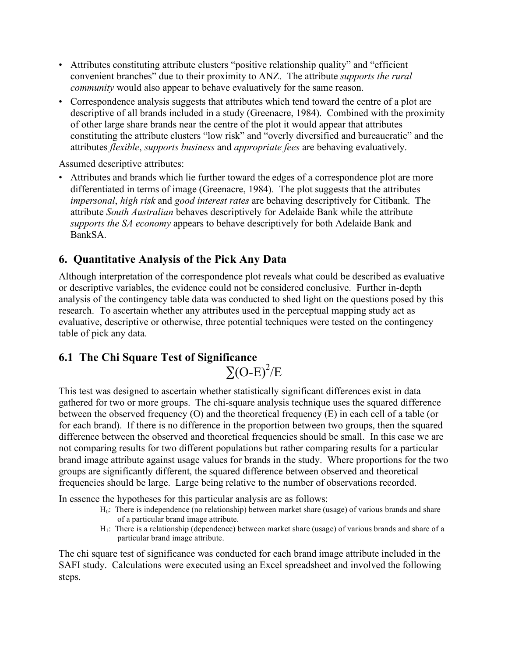- Attributes constituting attribute clusters "positive relationship quality" and "efficient convenient branches" due to their proximity to ANZ. The attribute *supports the rural community* would also appear to behave evaluatively for the same reason.
- Correspondence analysis suggests that attributes which tend toward the centre of a plot are descriptive of all brands included in a study (Greenacre, 1984). Combined with the proximity of other large share brands near the centre of the plot it would appear that attributes constituting the attribute clusters "low risk" and "overly diversified and bureaucratic" and the attributes *flexible*, *supports business* and *appropriate fees* are behaving evaluatively.

Assumed descriptive attributes:

• Attributes and brands which lie further toward the edges of a correspondence plot are more differentiated in terms of image (Greenacre, 1984). The plot suggests that the attributes *impersonal*, *high risk* and *good interest rates* are behaving descriptively for Citibank. The attribute *South Australian* behaves descriptively for Adelaide Bank while the attribute *supports the SA economy* appears to behave descriptively for both Adelaide Bank and BankSA.

### **6. Quantitative Analysis of the Pick Any Data**

Although interpretation of the correspondence plot reveals what could be described as evaluative or descriptive variables, the evidence could not be considered conclusive. Further in-depth analysis of the contingency table data was conducted to shed light on the questions posed by this research. To ascertain whether any attributes used in the perceptual mapping study act as evaluative, descriptive or otherwise, three potential techniques were tested on the contingency table of pick any data.

## **6.1 The Chi Square Test of Significance**  $\Sigma$ (O-E)<sup>2</sup>/E

This test was designed to ascertain whether statistically significant differences exist in data gathered for two or more groups. The chi-square analysis technique uses the squared difference between the observed frequency (O) and the theoretical frequency (E) in each cell of a table (or for each brand). If there is no difference in the proportion between two groups, then the squared difference between the observed and theoretical frequencies should be small. In this case we are not comparing results for two different populations but rather comparing results for a particular brand image attribute against usage values for brands in the study. Where proportions for the two groups are significantly different, the squared difference between observed and theoretical frequencies should be large. Large being relative to the number of observations recorded.

In essence the hypotheses for this particular analysis are as follows:

- $H<sub>0</sub>$ : There is independence (no relationship) between market share (usage) of various brands and share of a particular brand image attribute.
- $H_1$ : There is a relationship (dependence) between market share (usage) of various brands and share of a particular brand image attribute.

The chi square test of significance was conducted for each brand image attribute included in the SAFI study. Calculations were executed using an Excel spreadsheet and involved the following steps.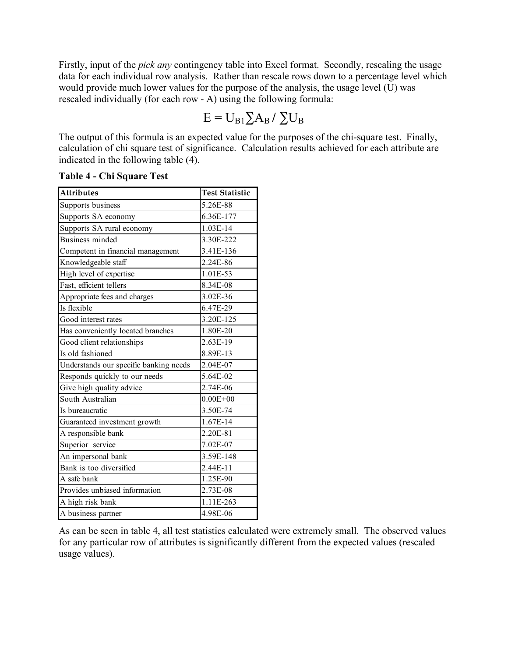Firstly, input of the *pick any* contingency table into Excel format. Secondly, rescaling the usage data for each individual row analysis. Rather than rescale rows down to a percentage level which would provide much lower values for the purpose of the analysis, the usage level  $(U)$  was rescaled individually (for each row - A) using the following formula:

$$
E = U_{B1} \Sigma A_B / \Sigma U_B
$$

The output of this formula is an expected value for the purposes of the chi-square test. Finally, calculation of chi square test of significance. Calculation results achieved for each attribute are indicated in the following table (4).

| <b>Attributes</b>                      | <b>Test Statistic</b> |  |  |  |
|----------------------------------------|-----------------------|--|--|--|
| Supports business                      | 5.26E-88              |  |  |  |
| Supports SA economy                    | 6.36E-177             |  |  |  |
| Supports SA rural economy              | 1.03E-14              |  |  |  |
| <b>Business minded</b>                 | 3.30E-222             |  |  |  |
| Competent in financial management      | 3.41E-136             |  |  |  |
| Knowledgeable staff                    | 2.24E-86              |  |  |  |
| High level of expertise                | 1.01E-53              |  |  |  |
| Fast, efficient tellers                | 8.34E-08              |  |  |  |
| Appropriate fees and charges           | 3.02E-36              |  |  |  |
| Is flexible                            | 6.47E-29              |  |  |  |
| Good interest rates                    | 3.20E-125             |  |  |  |
| Has conveniently located branches      | 1.80E-20              |  |  |  |
| Good client relationships              | 2.63E-19              |  |  |  |
| Is old fashioned                       | 8.89E-13              |  |  |  |
| Understands our specific banking needs | 2.04E-07              |  |  |  |
| Responds quickly to our needs          | 5.64E-02              |  |  |  |
| Give high quality advice               | 2.74E-06              |  |  |  |
| South Australian                       | $0.00E + 00$          |  |  |  |
| Is bureaucratic                        | 3.50E-74              |  |  |  |
| Guaranteed investment growth           | 1.67E-14              |  |  |  |
| A responsible bank                     | 2.20E-81              |  |  |  |
| Superior service                       | 7.02E-07              |  |  |  |
| An impersonal bank                     | 3.59E-148             |  |  |  |
| Bank is too diversified                | 2.44E-11              |  |  |  |
| A safe bank                            | 1.25E-90              |  |  |  |
| Provides unbiased information          | 2.73E-08              |  |  |  |
| A high risk bank                       | 1.11E-263             |  |  |  |
| A business partner                     | 4.98E-06              |  |  |  |

**Table 4 - Chi Square Test**

As can be seen in table 4, all test statistics calculated were extremely small. The observed values for any particular row of attributes is significantly different from the expected values (rescaled usage values).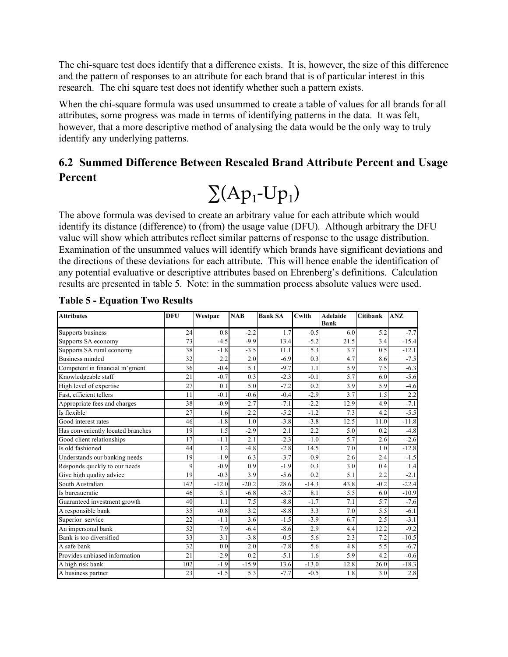The chi-square test does identify that a difference exists. It is, however, the size of this difference and the pattern of responses to an attribute for each brand that is of particular interest in this research. The chi square test does not identify whether such a pattern exists.

When the chi-square formula was used unsummed to create a table of values for all brands for all attributes, some progress was made in terms of identifying patterns in the data. It was felt, however, that a more descriptive method of analysing the data would be the only way to truly identify any underlying patterns.

## **6.2 Summed Difference Between Rescaled Brand Attribute Percent and Usage Percent**



The above formula was devised to create an arbitrary value for each attribute which would identify its distance (difference) to (from) the usage value (DFU). Although arbitrary the DFU value will show which attributes reflect similar patterns of response to the usage distribution. Examination of the unsummed values will identify which brands have significant deviations and the directions of these deviations for each attribute. This will hence enable the identification of any potential evaluative or descriptive attributes based on Ehrenberg's definitions. Calculation results are presented in table 5. Note: in the summation process absolute values were used.

| <b>Attributes</b>                 | <b>DFU</b> | Westpac | <b>NAB</b> | <b>Bank SA</b> | Cwlth   | <b>Adelaide</b><br><b>Bank</b> | Citibank | ANZ     |
|-----------------------------------|------------|---------|------------|----------------|---------|--------------------------------|----------|---------|
| Supports business                 | 24         | 0.8     | $-2.2$     | 1.7            | $-0.5$  | 6.0                            | 5.2      | $-7.7$  |
| Supports SA economy               | 73         | $-4.5$  | $-9.9$     | 13.4           | $-5.2$  | 21.5                           | 3.4      | $-15.4$ |
| Supports SA rural economy         | 38         | $-1.8$  | $-3.5$     | 11.1           | 5.3     | 3.7                            | 0.5      | $-12.1$ |
| <b>Business minded</b>            | 32         | 2.2     | 2.0        | $-6.9$         | 0.3     | 4.7                            | 8.6      | $-7.5$  |
| Competent in financial m'gment    | 36         | $-0.4$  | 5.1        | $-9.7$         | 1.1     | 5.9                            | 7.5      | $-6.3$  |
| Knowledgeable staff               | 21         | $-0.7$  | 0.3        | $-2.3$         | $-0.1$  | 5.7                            | 6.0      | $-5.6$  |
| High level of expertise           | 27         | 0.1     | 5.0        | $-7.2$         | 0.2     | 3.9                            | 5.9      | $-4.6$  |
| Fast, efficient tellers           | 11         | $-0.1$  | $-0.6$     | $-0.4$         | $-2.9$  | 3.7                            | 1.5      | 2.2     |
| Appropriate fees and charges      | 38         | $-0.9$  | 2.7        | $-7.1$         | $-2.2$  | 12.9                           | 4.9      | $-7.1$  |
| Is flexible                       | 27         | 1.6     | 2.2        | $-5.2$         | $-1.2$  | 7.3                            | 4.2      | $-5.5$  |
| Good interest rates               | 46         | $-1.8$  | 1.0        | $-3.8$         | $-3.8$  | 12.5                           | 11.0     | $-11.8$ |
| Has conveniently located branches | 19         | 1.5     | $-2.9$     | 2.1            | 2.2     | 5.0                            | 0.2      | $-4.8$  |
| Good client relationships         | 17         | $-1.1$  | 2.1        | $-2.3$         | $-1.0$  | 5.7                            | 2.6      | $-2.6$  |
| Is old fashioned                  | 44         | 1.2     | $-4.8$     | $-2.8$         | 14.5    | 7.0                            | 1.0      | $-12.8$ |
| Understands our banking needs     | 19         | $-1.9$  | 6.3        | $-3.7$         | $-0.9$  | 2.6                            | 2.4      | $-1.5$  |
| Responds quickly to our needs     | 9          | $-0.9$  | 0.9        | $-1.9$         | 0.3     | 3.0                            | 0.4      | 1.4     |
| Give high quality advice          | 19         | $-0.3$  | 3.9        | $-5.6$         | 0.2     | 5.1                            | 2.2      | $-2.1$  |
| South Australian                  | 142        | $-12.0$ | $-20.2$    | 28.6           | $-14.3$ | 43.8                           | $-0.2$   | $-22.4$ |
| Is bureaucratic                   | 46         | 5.1     | $-6.8$     | $-3.7$         | 8.1     | 5.5                            | 6.0      | $-10.9$ |
| Guaranteed investment growth      | 40         | 1.1     | 7.5        | $-8.8$         | $-1.7$  | 7.1                            | 5.7      | $-7.6$  |
| A responsible bank                | 35         | $-0.8$  | 3.2        | $-8.8$         | 3.3     | 7.0                            | 5.5      | $-6.1$  |
| Superior service                  | 22         | $-1.1$  | 3.6        | $-1.5$         | $-3.9$  | 6.7                            | 2.5      | $-3.1$  |
| An impersonal bank                | 52         | 7.9     | $-6.4$     | $-8.6$         | 2.9     | 4.4                            | 12.2     | $-9.2$  |
| Bank is too diversified           | 33         | 3.1     | $-3.8$     | $-0.5$         | 5.6     | 2.3                            | 7.2      | $-10.5$ |
| A safe bank                       | 32         | 0.0     | 2.0        | $-7.8$         | 5.6     | 4.8                            | 5.5      | $-6.7$  |
| Provides unbiased information     | 21         | $-2.9$  | 0.2        | $-5.1$         | 1.6     | 5.9                            | 4.2      | $-0.6$  |
| A high risk bank                  | 102        | $-1.9$  | $-15.9$    | 13.6           | $-13.0$ | 12.8                           | 26.0     | $-18.3$ |
| A business partner                | 23         | $-1.5$  | 5.3        | $-7.7$         | $-0.5$  | 1.8                            | 3.0      | 2.8     |

**Table 5 - Equation Two Results**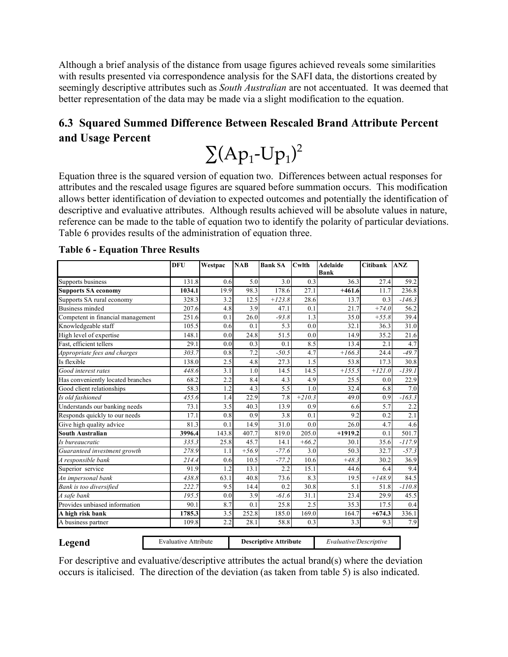Although a brief analysis of the distance from usage figures achieved reveals some similarities with results presented via correspondence analysis for the SAFI data, the distortions created by seemingly descriptive attributes such as *South Australian* are not accentuated. It was deemed that better representation of the data may be made via a slight modification to the equation.

## **6.3 Squared Summed Difference Between Rescaled Brand Attribute Percent and Usage Percent**

 $\sum (Ap_1-Up_1)^2$ 

Equation three is the squared version of equation two. Differences between actual responses for attributes and the rescaled usage figures are squared before summation occurs. This modification allows better identification of deviation to expected outcomes and potentially the identification of descriptive and evaluative attributes. Although results achieved will be absolute values in nature, reference can be made to the table of equation two to identify the polarity of particular deviations. Table 6 provides results of the administration of equation three.

|                                   | DFU                         | Westpac | <b>NAB</b> | <b>Bank SA</b>               | Cwlth    | <b>Adelaide</b><br><b>Bank</b> | Citibank | <b>ANZ</b> |
|-----------------------------------|-----------------------------|---------|------------|------------------------------|----------|--------------------------------|----------|------------|
| Supports business                 | 131.8                       | 0.6     | 5.0        | 3.0                          | 0.3      | 36.3                           | 27.4     | 59.2       |
| <b>Supports SA economy</b>        | 1034.1                      | 19.9    | 98.3       | 178.6                        | 27.1     | $+461.6$                       | 11.7     | 236.8      |
| Supports SA rural economy         | 328.3                       | 3.2     | 12.5       | $+123.8$                     | 28.6     | 13.7                           | 0.3      | $-146.3$   |
| <b>Business minded</b>            | 207.6                       | 4.8     | 3.9        | 47.1                         | 0.1      | 21.7                           | $+74.0$  | 56.2       |
| Competent in financial management | 251.6                       | 0.1     | 26.0       | $-93.8$                      | 1.3      | 35.0                           | $+55.8$  | 39.4       |
| Knowledgeable staff               | 105.5                       | 0.6     | 0.1        | 5.3                          | 0.0      | 32.1                           | 36.3     | 31.0       |
| High level of expertise           | 148.1                       | 0.0     | 24.8       | 51.5                         | 0.0      | 14.9                           | 35.2     | 21.6       |
| Fast, efficient tellers           | 29.1                        | 0.0     | 0.3        | 0.1                          | 8.5      | 13.4                           | 2.1      | 4.7        |
| Appropriate fees and charges      | 303.7                       | 0.8     | 7.2        | $-50.5$                      | 4.7      | $+166.3$                       | 24.4     | $-49.7$    |
| Is flexible                       | 138.0                       | 2.5     | 4.8        | 27.3                         | 1.5      | 53.8                           | 17.3     | 30.8       |
| Good interest rates               | 448.6                       | 3.1     | 1.0        | 14.5                         | 14.5     | $+155.5$                       | $+121.0$ | $-139.1$   |
| Has conveniently located branches | 68.2                        | 2.2     | 8.4        | 4.3                          | 4.9      | 25.5                           | 0.0      | 22.9       |
| Good client relationships         | 58.3                        | 1.2     | 4.3        | 5.5                          | 1.0      | 32.4                           | 6.8      | 7.0        |
| Is old fashioned                  | 455.6                       | 1.4     | 22.9       | 7.8                          | $+210.3$ | 49.0                           | 0.9      | $-163.3$   |
| Understands our banking needs     | 73.1                        | 3.5     | 40.3       | 13.9                         | 0.9      | 6.6                            | 5.7      | 2.2        |
| Responds quickly to our needs     | 17.1                        | 0.8     | 0.9        | 3.8                          | 0.1      | 9.2                            | 0.2      | 2.1        |
| Give high quality advice          | 81.3                        | 0.1     | 14.9       | 31.0                         | 0.0      | 26.0                           | 4.7      | 4.6        |
| <b>South Australian</b>           | 3996.4                      | 143.8   | 407.7      | 819.0                        | 205.0    | $+1919.2$                      | 0.1      | 501.7      |
| Is bureaucratic                   | 335.3                       | 25.8    | 45.7       | 14.1                         | $+66.2$  | 30.1                           | 35.6     | $-117.9$   |
| Guaranteed investment growth      | 278.9                       | 1.1     | $+56.9$    | $-77.6$                      | 3.0      | 50.3                           | 32.7     | $-57.3$    |
| A responsible bank                | 214.4                       | 0.6     | 10.5       | $-77.2$                      | 10.6     | $+48.3$                        | 30.2     | 36.9       |
| Superior service                  | 91.9                        | 1.2     | 13.1       | 2.2                          | 15.1     | 44.6                           | 6.4      | 9.4        |
| An impersonal bank                | 438.8                       | 63.1    | 40.8       | 73.6                         | 8.3      | 19.5                           | $+148.9$ | 84.5       |
| Bank is too diversified           | 222.7                       | 9.5     | 14.4       | 0.2                          | 30.8     | 5.1                            | 51.8     | $-110.8$   |
| A safe bank                       | 195.5                       | 0.0     | 3.9        | $-61.6$                      | 31.1     | 23.4                           | 29.9     | 45.5       |
| Provides unbiased information     | 90.1                        | 8.7     | 0.1        | 25.8                         | 2.5      | 35.3                           | 17.5     | 0.4        |
| A high risk bank                  | 1785.3                      | 3.5     | 252.8      | 185.0                        | 169.0    | 164.7                          | $+674.3$ | 336.1      |
| A business partner                | 109.8                       | 2.2     | 28.1       | 58.8                         | 0.3      | 3.3                            | 9.3      | 7.9        |
| Legend                            | <b>Evaluative Attribute</b> |         |            | <b>Descriptive Attribute</b> |          | Evaluative/Descriptive         |          |            |

#### **Table 6 - Equation Three Results**

For descriptive and evaluative/descriptive attributes the actual brand(s) where the deviation occurs is italicised. The direction of the deviation (as taken from table 5) is also indicated.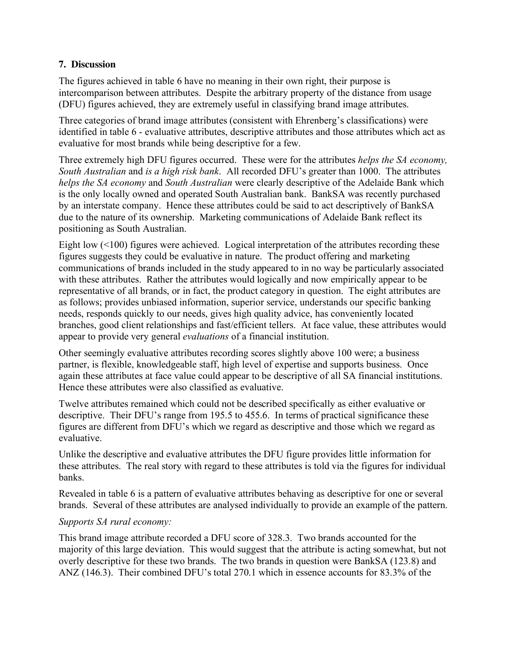#### **7. Discussion**

The figures achieved in table 6 have no meaning in their own right, their purpose is intercomparison between attributes. Despite the arbitrary property of the distance from usage (DFU) figures achieved, they are extremely useful in classifying brand image attributes.

Three categories of brand image attributes (consistent with Ehrenberg's classifications) were identified in table 6 - evaluative attributes, descriptive attributes and those attributes which act as evaluative for most brands while being descriptive for a few.

Three extremely high DFU figures occurred. These were for the attributes *helps the SA economy, South Australian* and *is a high risk bank*. All recorded DFU's greater than 1000. The attributes *helps the SA economy* and *South Australian* were clearly descriptive of the Adelaide Bank which is the only locally owned and operated South Australian bank. BankSA was recently purchased by an interstate company. Hence these attributes could be said to act descriptively of BankSA due to the nature of its ownership. Marketing communications of Adelaide Bank reflect its positioning as South Australian.

Eight low (<100) figures were achieved. Logical interpretation of the attributes recording these figures suggests they could be evaluative in nature. The product offering and marketing communications of brands included in the study appeared to in no way be particularly associated with these attributes. Rather the attributes would logically and now empirically appear to be representative of all brands, or in fact, the product category in question. The eight attributes are as follows; provides unbiased information, superior service, understands our specific banking needs, responds quickly to our needs, gives high quality advice, has conveniently located branches, good client relationships and fast/efficient tellers. At face value, these attributes would appear to provide very general *evaluations* of a financial institution.

Other seemingly evaluative attributes recording scores slightly above 100 were; a business partner, is flexible, knowledgeable staff, high level of expertise and supports business. Once again these attributes at face value could appear to be descriptive of all SA financial institutions. Hence these attributes were also classified as evaluative.

Twelve attributes remained which could not be described specifically as either evaluative or descriptive. Their DFU's range from 195.5 to 455.6. In terms of practical significance these figures are different from DFU's which we regard as descriptive and those which we regard as evaluative.

Unlike the descriptive and evaluative attributes the DFU figure provides little information for these attributes. The real story with regard to these attributes is told via the figures for individual banks.

Revealed in table 6 is a pattern of evaluative attributes behaving as descriptive for one or several brands. Several of these attributes are analysed individually to provide an example of the pattern.

#### *Supports SA rural economy:*

This brand image attribute recorded a DFU score of 328.3. Two brands accounted for the majority of this large deviation. This would suggest that the attribute is acting somewhat, but not overly descriptive for these two brands. The two brands in question were BankSA (123.8) and ANZ (146.3). Their combined DFU's total 270.1 which in essence accounts for 83.3% of the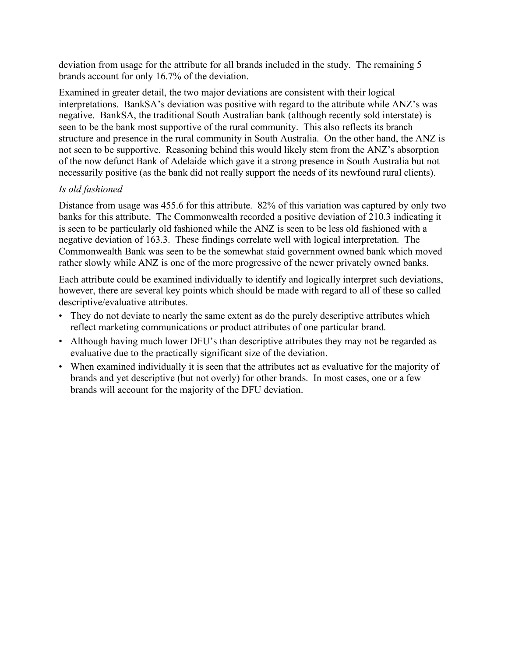deviation from usage for the attribute for all brands included in the study. The remaining 5 brands account for only 16.7% of the deviation.

Examined in greater detail, the two major deviations are consistent with their logical interpretations. BankSA's deviation was positive with regard to the attribute while ANZ's was negative. BankSA, the traditional South Australian bank (although recently sold interstate) is seen to be the bank most supportive of the rural community. This also reflects its branch structure and presence in the rural community in South Australia. On the other hand, the ANZ is not seen to be supportive. Reasoning behind this would likely stem from the ANZ's absorption of the now defunct Bank of Adelaide which gave it a strong presence in South Australia but not necessarily positive (as the bank did not really support the needs of its newfound rural clients).

#### *Is old fashioned*

Distance from usage was 455.6 for this attribute. 82% of this variation was captured by only two banks for this attribute. The Commonwealth recorded a positive deviation of 210.3 indicating it is seen to be particularly old fashioned while the ANZ is seen to be less old fashioned with a negative deviation of 163.3. These findings correlate well with logical interpretation. The Commonwealth Bank was seen to be the somewhat staid government owned bank which moved rather slowly while ANZ is one of the more progressive of the newer privately owned banks.

Each attribute could be examined individually to identify and logically interpret such deviations, however, there are several key points which should be made with regard to all of these so called descriptive/evaluative attributes.

- They do not deviate to nearly the same extent as do the purely descriptive attributes which reflect marketing communications or product attributes of one particular brand.
- Although having much lower DFU's than descriptive attributes they may not be regarded as evaluative due to the practically significant size of the deviation.
- When examined individually it is seen that the attributes act as evaluative for the majority of brands and yet descriptive (but not overly) for other brands. In most cases, one or a few brands will account for the majority of the DFU deviation.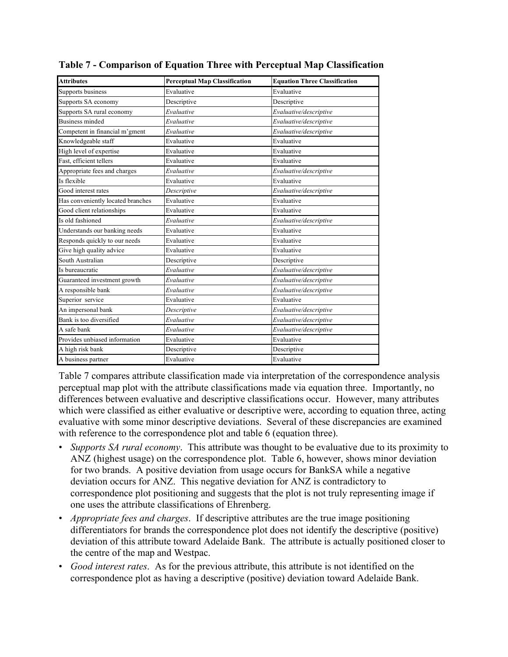| <b>Attributes</b>                 | <b>Perceptual Map Classification</b> | <b>Equation Three Classification</b> |
|-----------------------------------|--------------------------------------|--------------------------------------|
| Supports business                 | Evaluative                           | Evaluative                           |
| Supports SA economy               | Descriptive                          | Descriptive                          |
| Supports SA rural economy         | Evaluative                           | Evaluative/descriptive               |
| <b>Business minded</b>            | Evaluative                           | Evaluative/descriptive               |
| Competent in financial m'gment    | Evaluative                           | Evaluative/descriptive               |
| Knowledgeable staff               | Evaluative                           | Evaluative                           |
| High level of expertise           | Evaluative                           | Evaluative                           |
| Fast, efficient tellers           | Evaluative                           | Evaluative                           |
| Appropriate fees and charges      | Evaluative                           | Evaluative/descriptive               |
| Is flexible                       | Evaluative                           | Evaluative                           |
| Good interest rates               | Descriptive                          | Evaluative/descriptive               |
| Has conveniently located branches | Evaluative                           | Evaluative                           |
| Good client relationships         | Evaluative                           | Evaluative                           |
| Is old fashioned                  | Evaluative                           | Evaluative/descriptive               |
| Understands our banking needs     | Evaluative                           | Evaluative                           |
| Responds quickly to our needs     | Evaluative                           | Evaluative                           |
| Give high quality advice          | Evaluative                           | Evaluative                           |
| South Australian                  | Descriptive                          | Descriptive                          |
| Is bureaucratic                   | Evaluative                           | Evaluative/descriptive               |
| Guaranteed investment growth      | Evaluative                           | Evaluative/descriptive               |
| A responsible bank                | Evaluative                           | Evaluative/descriptive               |
| Superior service                  | Evaluative                           | Evaluative                           |
| An impersonal bank                | Descriptive                          | Evaluative/descriptive               |
| Bank is too diversified           | Evaluative                           | Evaluative/descriptive               |
| A safe bank                       | Evaluative                           | Evaluative/descriptive               |
| Provides unbiased information     | Evaluative                           | Evaluative                           |
| A high risk bank                  | Descriptive                          | Descriptive                          |
| A business partner                | Evaluative                           | Evaluative                           |

**Table 7 - Comparison of Equation Three with Perceptual Map Classification**

Table 7 compares attribute classification made via interpretation of the correspondence analysis perceptual map plot with the attribute classifications made via equation three. Importantly, no differences between evaluative and descriptive classifications occur. However, many attributes which were classified as either evaluative or descriptive were, according to equation three, acting evaluative with some minor descriptive deviations. Several of these discrepancies are examined with reference to the correspondence plot and table 6 (equation three).

- *Supports SA rural economy*. This attribute was thought to be evaluative due to its proximity to ANZ (highest usage) on the correspondence plot. Table 6, however, shows minor deviation for two brands. A positive deviation from usage occurs for BankSA while a negative deviation occurs for ANZ. This negative deviation for ANZ is contradictory to correspondence plot positioning and suggests that the plot is not truly representing image if one uses the attribute classifications of Ehrenberg.
- *Appropriate fees and charges*. If descriptive attributes are the true image positioning differentiators for brands the correspondence plot does not identify the descriptive (positive) deviation of this attribute toward Adelaide Bank. The attribute is actually positioned closer to the centre of the map and Westpac.
- *Good interest rates*. As for the previous attribute, this attribute is not identified on the correspondence plot as having a descriptive (positive) deviation toward Adelaide Bank.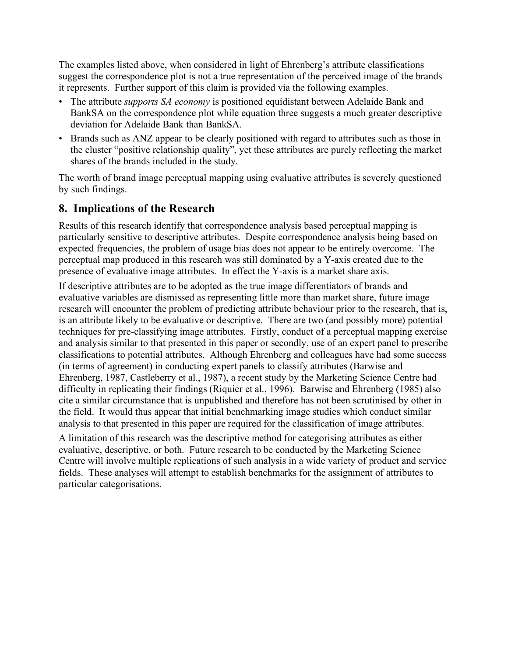The examples listed above, when considered in light of Ehrenberg's attribute classifications suggest the correspondence plot is not a true representation of the perceived image of the brands it represents. Further support of this claim is provided via the following examples.

- The attribute *supports SA economy* is positioned equidistant between Adelaide Bank and BankSA on the correspondence plot while equation three suggests a much greater descriptive deviation for Adelaide Bank than BankSA.
- Brands such as ANZ appear to be clearly positioned with regard to attributes such as those in the cluster "positive relationship quality", yet these attributes are purely reflecting the market shares of the brands included in the study.

The worth of brand image perceptual mapping using evaluative attributes is severely questioned by such findings.

### **8. Implications of the Research**

Results of this research identify that correspondence analysis based perceptual mapping is particularly sensitive to descriptive attributes. Despite correspondence analysis being based on expected frequencies, the problem of usage bias does not appear to be entirely overcome. The perceptual map produced in this research was still dominated by a Y-axis created due to the presence of evaluative image attributes. In effect the Y-axis is a market share axis.

If descriptive attributes are to be adopted as the true image differentiators of brands and evaluative variables are dismissed as representing little more than market share, future image research will encounter the problem of predicting attribute behaviour prior to the research, that is, is an attribute likely to be evaluative or descriptive. There are two (and possibly more) potential techniques for pre-classifying image attributes. Firstly, conduct of a perceptual mapping exercise and analysis similar to that presented in this paper or secondly, use of an expert panel to prescribe classifications to potential attributes. Although Ehrenberg and colleagues have had some success (in terms of agreement) in conducting expert panels to classify attributes (Barwise and Ehrenberg, 1987, Castleberry et al., 1987), a recent study by the Marketing Science Centre had difficulty in replicating their findings (Riquier et al., 1996). Barwise and Ehrenberg (1985) also cite a similar circumstance that is unpublished and therefore has not been scrutinised by other in the field. It would thus appear that initial benchmarking image studies which conduct similar analysis to that presented in this paper are required for the classification of image attributes.

A limitation of this research was the descriptive method for categorising attributes as either evaluative, descriptive, or both. Future research to be conducted by the Marketing Science Centre will involve multiple replications of such analysis in a wide variety of product and service fields. These analyses will attempt to establish benchmarks for the assignment of attributes to particular categorisations.